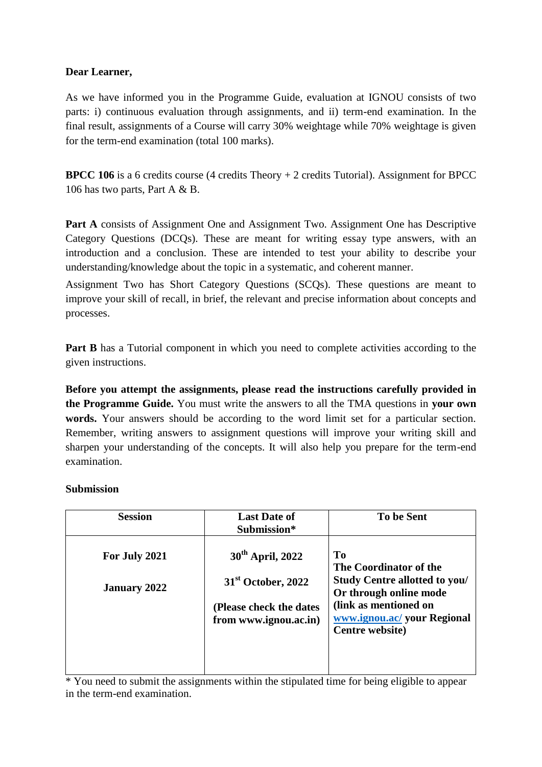### **Dear Learner,**

As we have informed you in the Programme Guide, evaluation at IGNOU consists of two parts: i) continuous evaluation through assignments, and ii) term-end examination. In the final result, assignments of a Course will carry 30% weightage while 70% weightage is given for the term-end examination (total 100 marks).

**BPCC 106** is a 6 credits course (4 credits Theory + 2 credits Tutorial). Assignment for BPCC 106 has two parts, Part A & B.

Part A consists of Assignment One and Assignment Two. Assignment One has Descriptive Category Questions (DCQs). These are meant for writing essay type answers, with an introduction and a conclusion. These are intended to test your ability to describe your understanding/knowledge about the topic in a systematic, and coherent manner.

Assignment Two has Short Category Questions (SCQs). These questions are meant to improve your skill of recall, in brief, the relevant and precise information about concepts and processes.

**Part B** has a Tutorial component in which you need to complete activities according to the given instructions.

**Before you attempt the assignments, please read the instructions carefully provided in the Programme Guide.** You must write the answers to all the TMA questions in **your own words.** Your answers should be according to the word limit set for a particular section. Remember, writing answers to assignment questions will improve your writing skill and sharpen your understanding of the concepts. It will also help you prepare for the term-end examination.

### **Submission**

| <b>Last Date of</b><br><b>To be Sent</b><br><b>Session</b><br>Submission*                                                                                                                                                                                                                                                            |  |
|--------------------------------------------------------------------------------------------------------------------------------------------------------------------------------------------------------------------------------------------------------------------------------------------------------------------------------------|--|
| <b>To</b><br>30 <sup>th</sup> April, 2022<br>For July 2021<br>The Coordinator of the<br><b>Study Centre allotted to you/</b><br>$31st$ October, 2022<br><b>January 2022</b><br>Or through online mode<br>(link as mentioned on<br>(Please check the dates<br>www.ignou.ac/ your Regional<br>from www.ignou.ac.in)<br>Centre website) |  |

\* You need to submit the assignments within the stipulated time for being eligible to appear in the term-end examination.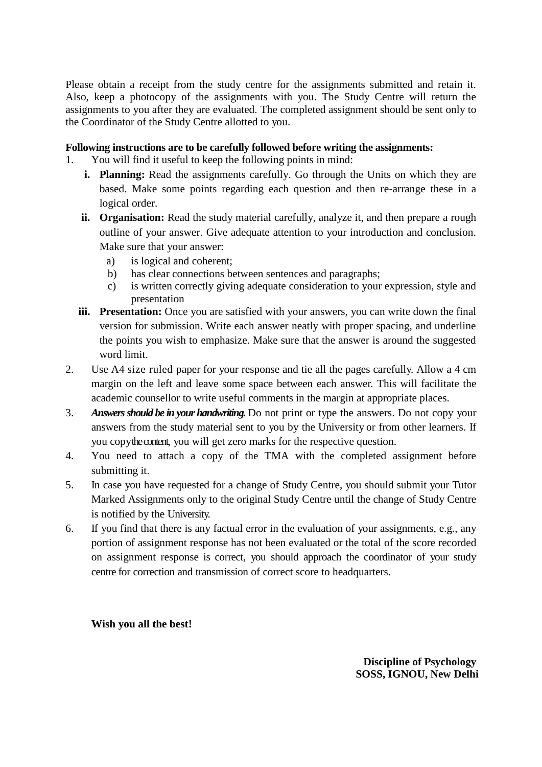Please obtain a receipt from the study centre for the assignments submitted and retain it. Also, keep a photocopy of the assignments with you. The Study Centre will return the assignments to you after they are evaluated. The completed assignment should be sent only to the Coordinator of the Study Centre allotted to you.

### **Following instructions are to be carefully followed before writing the assignments:**

1. You will find it useful to keep the following points in mind:

- **i. Planning:** Read the assignments carefully. Go through the Units on which they are based. Make some points regarding each question and then re-arrange these in a logical order.
- **ii. Organisation:** Read the study material carefully, analyze it, and then prepare a rough outline of your answer. Give adequate attention to your introduction and conclusion. Make sure that your answer:
	- a) is logical and coherent;
	- b) has clear connections between sentences and paragraphs;
	- c) is written correctly giving adequate consideration to your expression, style and presentation
- **iii.** Presentation: Once you are satisfied with your answers, you can write down the final version for submission. Write each answer neatly with proper spacing, and underline the points you wish to emphasize. Make sure that the answer is around the suggested word limit.
- 2. Use A4 size ruled paper for your response and tie all the pages carefully. Allow a 4 cm margin on the left and leave some space between each answer. This will facilitate the academic counsellor to write useful comments in the margin at appropriate places.
- 3. *Answers should be in your handwriting.* Do not print or type the answers. Do not copy your answers from the study material sent to you by the University or from other learners. If you copythe content, you will get zero marks for the respective question.
- 4. You need to attach a copy of the TMA with the completed assignment before submitting it.
- 5. In case you have requested for a change of Study Centre, you should submit your Tutor Marked Assignments only to the original Study Centre until the change of Study Centre is notified by the University.
- 6. If you find that there is any factual error in the evaluation of your assignments, e.g., any portion of assignment response has not been evaluated or the total of the score recorded on assignment response is correct, you should approach the coordinator of your study centre for correction and transmission of correct score to headquarters.

**Wish you all the best!**

**Discipline of Psychology SOSS, IGNOU, New Delhi**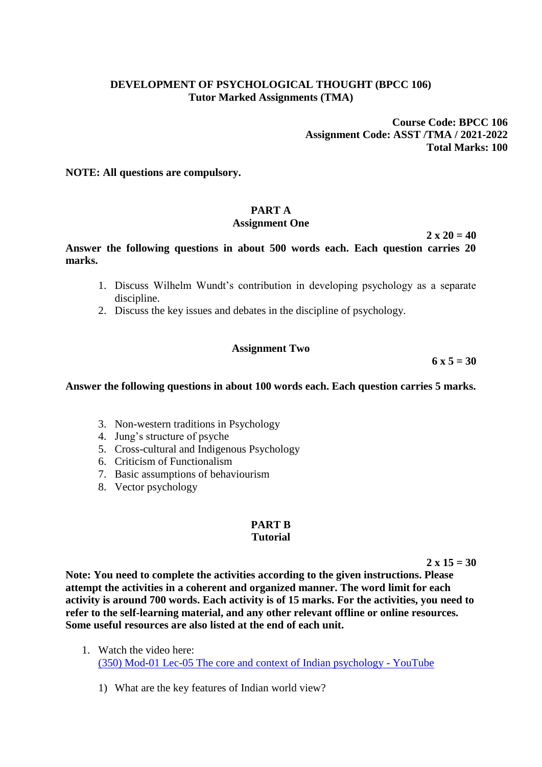### **DEVELOPMENT OF PSYCHOLOGICAL THOUGHT (BPCC 106) Tutor Marked Assignments (TMA)**

**Course Code: BPCC 106 Assignment Code: ASST /TMA / 2021-2022 Total Marks: 100**

**NOTE: All questions are compulsory.**

# **PART A**

## **Assignment One**

 $2 \times 20 = 40$ 

**Answer the following questions in about 500 words each. Each question carries 20 marks.** 

- 1. Discuss Wilhelm Wundt's contribution in developing psychology as a separate discipline.
- 2. Discuss the key issues and debates in the discipline of psychology.

### **Assignment Two**

**6 x 5 = 30**

**Answer the following questions in about 100 words each. Each question carries 5 marks.**

- 3. Non-western traditions in Psychology
- 4. Jung's structure of psyche
- 5. Cross-cultural and Indigenous Psychology
- 6. Criticism of Functionalism
- 7. Basic assumptions of behaviourism
- 8. Vector psychology

#### **PART B Tutorial**

**2 x 15 = 30**

**Note: You need to complete the activities according to the given instructions. Please attempt the activities in a coherent and organized manner. The word limit for each activity is around 700 words. Each activity is of 15 marks. For the activities, you need to refer to the self-learning material, and any other relevant offline or online resources. Some useful resources are also listed at the end of each unit.**

- 1. Watch the video here: [\(350\) Mod-01 Lec-05 The core and context of Indian psychology -](https://www.youtube.com/watch?v=Abu_3JyS-aY) YouTube
	- 1) What are the key features of Indian world view?